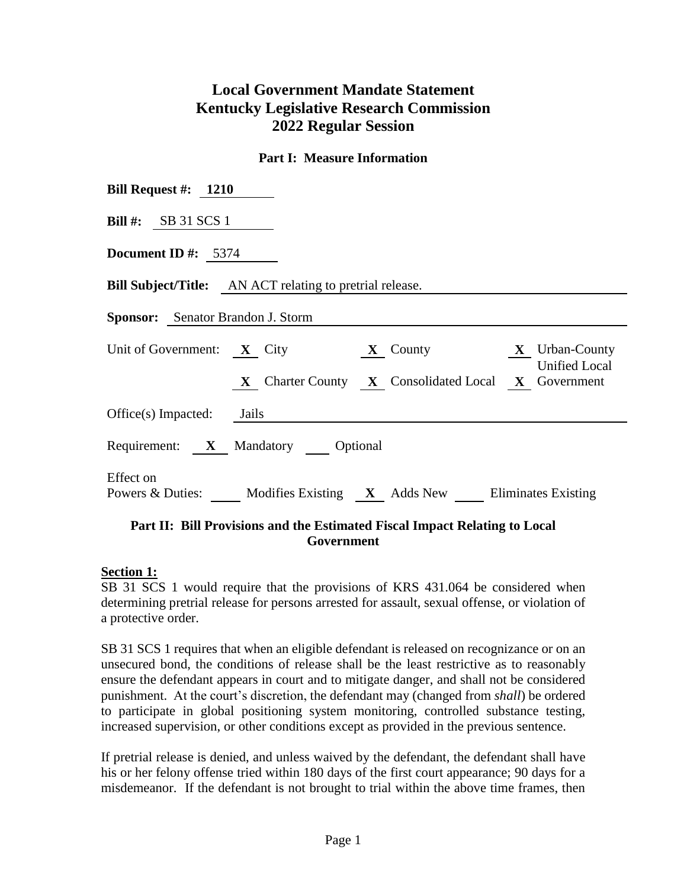# **Local Government Mandate Statement Kentucky Legislative Research Commission 2022 Regular Session**

#### **Part I: Measure Information**

| Bill Request #: $1210$                                                                                          |
|-----------------------------------------------------------------------------------------------------------------|
| Bill #: $SB$ 31 SCS 1                                                                                           |
| <b>Document ID</b> #: $5374$                                                                                    |
| <b>Bill Subject/Title:</b> AN ACT relating to pretrial release.                                                 |
| <b>Sponsor:</b> Senator Brandon J. Storm                                                                        |
| Unit of Government: <b>X</b> City <b>X</b> County <b>X</b> County <b>X</b> Urban-County<br><b>Unified Local</b> |
| X Charter County X Consolidated Local X Government                                                              |
| $Office(s)$ Impacted: Jails                                                                                     |
| Requirement: X Mandatory Optional                                                                               |
| Effect on<br>Powers & Duties: Modifies Existing X Adds New Eliminates Existing                                  |

#### **Part II: Bill Provisions and the Estimated Fiscal Impact Relating to Local Government**

#### **Section 1:**

SB 31 SCS 1 would require that the provisions of KRS 431.064 be considered when determining pretrial release for persons arrested for assault, sexual offense, or violation of a protective order.

SB 31 SCS 1 requires that when an eligible defendant is released on recognizance or on an unsecured bond, the conditions of release shall be the least restrictive as to reasonably ensure the defendant appears in court and to mitigate danger, and shall not be considered punishment. At the court's discretion, the defendant may (changed from *shall*) be ordered to participate in global positioning system monitoring, controlled substance testing, increased supervision, or other conditions except as provided in the previous sentence.

If pretrial release is denied, and unless waived by the defendant, the defendant shall have his or her felony offense tried within 180 days of the first court appearance; 90 days for a misdemeanor. If the defendant is not brought to trial within the above time frames, then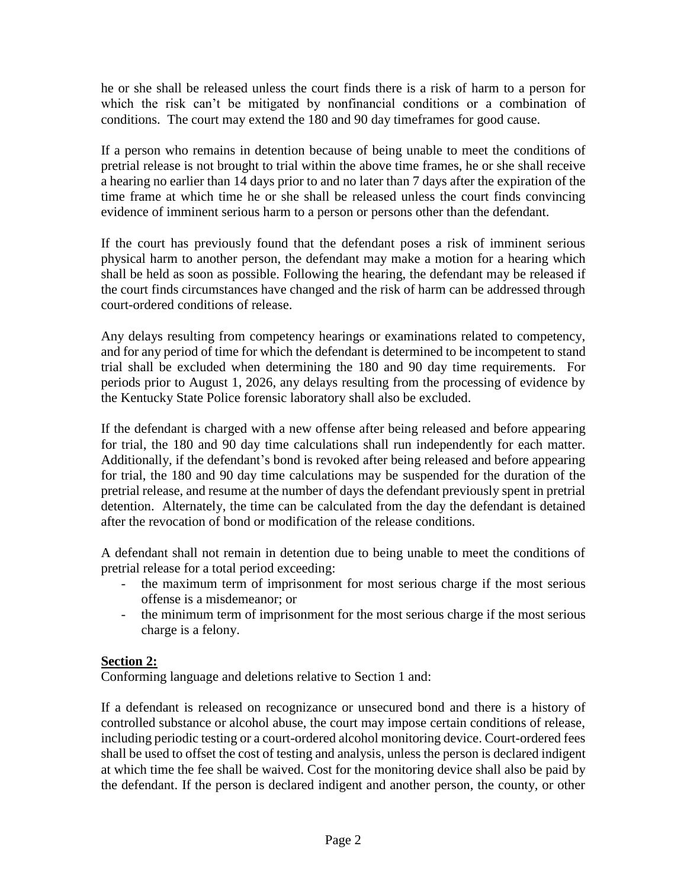he or she shall be released unless the court finds there is a risk of harm to a person for which the risk can't be mitigated by nonfinancial conditions or a combination of conditions. The court may extend the 180 and 90 day timeframes for good cause.

If a person who remains in detention because of being unable to meet the conditions of pretrial release is not brought to trial within the above time frames, he or she shall receive a hearing no earlier than 14 days prior to and no later than 7 days after the expiration of the time frame at which time he or she shall be released unless the court finds convincing evidence of imminent serious harm to a person or persons other than the defendant.

If the court has previously found that the defendant poses a risk of imminent serious physical harm to another person, the defendant may make a motion for a hearing which shall be held as soon as possible. Following the hearing, the defendant may be released if the court finds circumstances have changed and the risk of harm can be addressed through court-ordered conditions of release.

Any delays resulting from competency hearings or examinations related to competency, and for any period of time for which the defendant is determined to be incompetent to stand trial shall be excluded when determining the 180 and 90 day time requirements. For periods prior to August 1, 2026, any delays resulting from the processing of evidence by the Kentucky State Police forensic laboratory shall also be excluded.

If the defendant is charged with a new offense after being released and before appearing for trial, the 180 and 90 day time calculations shall run independently for each matter. Additionally, if the defendant's bond is revoked after being released and before appearing for trial, the 180 and 90 day time calculations may be suspended for the duration of the pretrial release, and resume at the number of days the defendant previously spent in pretrial detention. Alternately, the time can be calculated from the day the defendant is detained after the revocation of bond or modification of the release conditions.

A defendant shall not remain in detention due to being unable to meet the conditions of pretrial release for a total period exceeding:

- the maximum term of imprisonment for most serious charge if the most serious offense is a misdemeanor; or
- the minimum term of imprisonment for the most serious charge if the most serious charge is a felony.

# **Section 2:**

Conforming language and deletions relative to Section 1 and:

If a defendant is released on recognizance or unsecured bond and there is a history of controlled substance or alcohol abuse, the court may impose certain conditions of release, including periodic testing or a court-ordered alcohol monitoring device. Court-ordered fees shall be used to offset the cost of testing and analysis, unless the person is declared indigent at which time the fee shall be waived. Cost for the monitoring device shall also be paid by the defendant. If the person is declared indigent and another person, the county, or other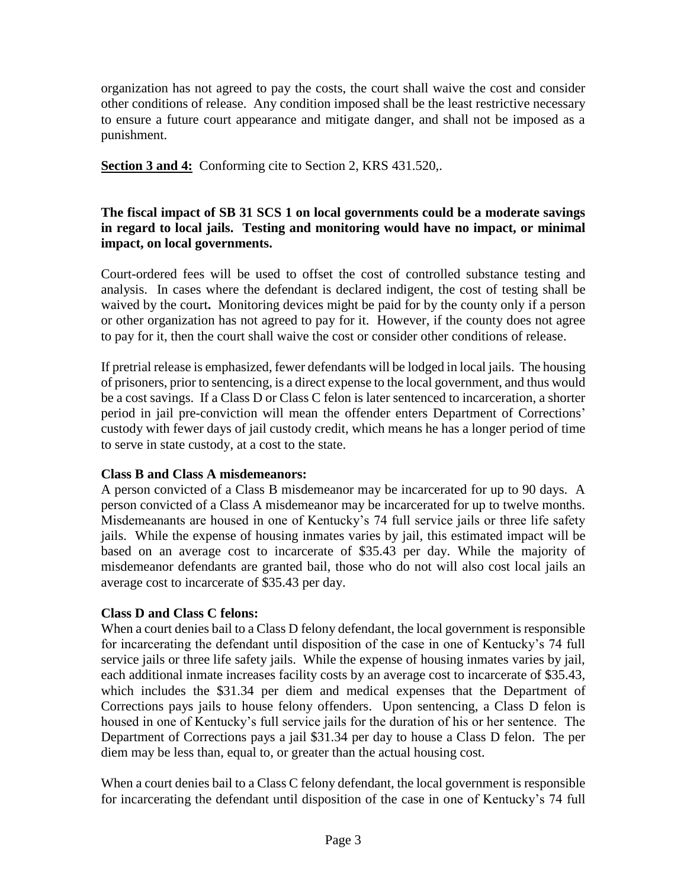organization has not agreed to pay the costs, the court shall waive the cost and consider other conditions of release. Any condition imposed shall be the least restrictive necessary to ensure a future court appearance and mitigate danger, and shall not be imposed as a punishment.

**Section 3 and 4:** Conforming cite to Section 2, KRS 431.520,.

### **The fiscal impact of SB 31 SCS 1 on local governments could be a moderate savings in regard to local jails. Testing and monitoring would have no impact, or minimal impact, on local governments.**

Court-ordered fees will be used to offset the cost of controlled substance testing and analysis. In cases where the defendant is declared indigent, the cost of testing shall be waived by the court**.** Monitoring devices might be paid for by the county only if a person or other organization has not agreed to pay for it. However, if the county does not agree to pay for it, then the court shall waive the cost or consider other conditions of release.

If pretrial release is emphasized, fewer defendants will be lodged in local jails. The housing of prisoners, prior to sentencing, is a direct expense to the local government, and thus would be a cost savings. If a Class D or Class C felon is later sentenced to incarceration, a shorter period in jail pre-conviction will mean the offender enters Department of Corrections' custody with fewer days of jail custody credit, which means he has a longer period of time to serve in state custody, at a cost to the state.

#### **Class B and Class A misdemeanors:**

A person convicted of a Class B misdemeanor may be incarcerated for up to 90 days. A person convicted of a Class A misdemeanor may be incarcerated for up to twelve months. Misdemeanants are housed in one of Kentucky's 74 full service jails or three life safety jails. While the expense of housing inmates varies by jail, this estimated impact will be based on an average cost to incarcerate of \$35.43 per day. While the majority of misdemeanor defendants are granted bail, those who do not will also cost local jails an average cost to incarcerate of \$35.43 per day.

# **Class D and Class C felons:**

When a court denies bail to a Class D felony defendant, the local government is responsible for incarcerating the defendant until disposition of the case in one of Kentucky's 74 full service jails or three life safety jails. While the expense of housing inmates varies by jail, each additional inmate increases facility costs by an average cost to incarcerate of \$35.43, which includes the \$31.34 per diem and medical expenses that the Department of Corrections pays jails to house felony offenders. Upon sentencing, a Class D felon is housed in one of Kentucky's full service jails for the duration of his or her sentence. The Department of Corrections pays a jail \$31.34 per day to house a Class D felon. The per diem may be less than, equal to, or greater than the actual housing cost.

When a court denies bail to a Class C felony defendant, the local government is responsible for incarcerating the defendant until disposition of the case in one of Kentucky's 74 full